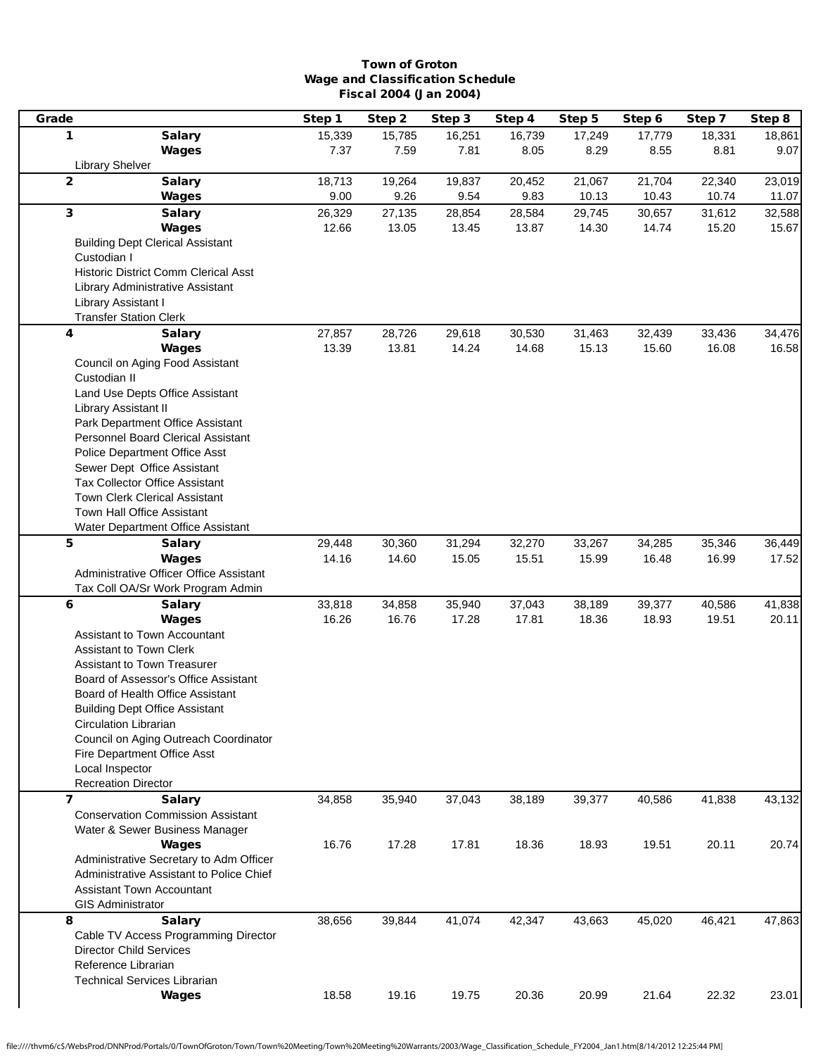## Town of Groton Wage and Classification Schedule Fiscal 2004 (Jan 2004)

| Grade                                                                      | Step 1 | Step 2 | Step 3 | Step 4 | Step 5 | Step 6 | Step 7 | Step 8 |
|----------------------------------------------------------------------------|--------|--------|--------|--------|--------|--------|--------|--------|
| 1<br><b>Salary</b>                                                         | 15,339 | 15,785 | 16,251 | 16,739 | 17,249 | 17,779 | 18,331 | 18,861 |
| Wages                                                                      | 7.37   | 7.59   | 7.81   | 8.05   | 8.29   | 8.55   | 8.81   | 9.07   |
| <b>Library Shelver</b>                                                     |        |        |        |        |        |        |        |        |
| $\overline{2}$<br><b>Salary</b>                                            | 18,713 | 19,264 | 19,837 | 20,452 | 21,067 | 21,704 | 22,340 | 23,019 |
| Wages                                                                      | 9.00   | 9.26   | 9.54   | 9.83   | 10.13  | 10.43  | 10.74  | 11.07  |
| $\mathbf{3}$<br><b>Salary</b>                                              | 26,329 | 27,135 | 28,854 | 28,584 | 29,745 | 30,657 | 31,612 | 32,588 |
| <b>Wages</b>                                                               | 12.66  | 13.05  | 13.45  | 13.87  | 14.30  | 14.74  | 15.20  | 15.67  |
| <b>Building Dept Clerical Assistant</b>                                    |        |        |        |        |        |        |        |        |
| Custodian I                                                                |        |        |        |        |        |        |        |        |
| <b>Historic District Comm Clerical Asst</b>                                |        |        |        |        |        |        |        |        |
| Library Administrative Assistant                                           |        |        |        |        |        |        |        |        |
| Library Assistant I                                                        |        |        |        |        |        |        |        |        |
| <b>Transfer Station Clerk</b>                                              |        |        |        |        |        |        |        |        |
| 4<br><b>Salary</b>                                                         | 27,857 | 28,726 | 29,618 | 30,530 | 31,463 | 32,439 | 33,436 | 34,476 |
| <b>Wages</b>                                                               | 13.39  | 13.81  | 14.24  | 14.68  | 15.13  | 15.60  | 16.08  | 16.58  |
| Council on Aging Food Assistant                                            |        |        |        |        |        |        |        |        |
| Custodian II                                                               |        |        |        |        |        |        |        |        |
| Land Use Depts Office Assistant                                            |        |        |        |        |        |        |        |        |
| Library Assistant II<br>Park Department Office Assistant                   |        |        |        |        |        |        |        |        |
| <b>Personnel Board Clerical Assistant</b>                                  |        |        |        |        |        |        |        |        |
| <b>Police Department Office Asst</b>                                       |        |        |        |        |        |        |        |        |
| Sewer Dept Office Assistant                                                |        |        |        |        |        |        |        |        |
| Tax Collector Office Assistant                                             |        |        |        |        |        |        |        |        |
| Town Clerk Clerical Assistant                                              |        |        |        |        |        |        |        |        |
| Town Hall Office Assistant                                                 |        |        |        |        |        |        |        |        |
| Water Department Office Assistant                                          |        |        |        |        |        |        |        |        |
| 5<br><b>Salary</b>                                                         | 29,448 | 30,360 | 31,294 | 32,270 | 33,267 | 34,285 | 35,346 | 36,449 |
| Wages                                                                      | 14.16  | 14.60  | 15.05  | 15.51  | 15.99  | 16.48  | 16.99  | 17.52  |
| Administrative Officer Office Assistant                                    |        |        |        |        |        |        |        |        |
| Tax Coll OA/Sr Work Program Admin                                          |        |        |        |        |        |        |        |        |
| 6<br><b>Salary</b>                                                         | 33,818 | 34,858 | 35,940 | 37,043 | 38,189 | 39,377 | 40,586 | 41,838 |
| Wages                                                                      | 16.26  | 16.76  | 17.28  | 17.81  | 18.36  | 18.93  | 19.51  | 20.11  |
| Assistant to Town Accountant                                               |        |        |        |        |        |        |        |        |
| <b>Assistant to Town Clerk</b>                                             |        |        |        |        |        |        |        |        |
| <b>Assistant to Town Treasurer</b>                                         |        |        |        |        |        |        |        |        |
| Board of Assessor's Office Assistant                                       |        |        |        |        |        |        |        |        |
| Board of Health Office Assistant                                           |        |        |        |        |        |        |        |        |
| <b>Building Dept Office Assistant</b>                                      |        |        |        |        |        |        |        |        |
| Circulation Librarian                                                      |        |        |        |        |        |        |        |        |
| Council on Aging Outreach Coordinator                                      |        |        |        |        |        |        |        |        |
| Fire Department Office Asst                                                |        |        |        |        |        |        |        |        |
| Local Inspector                                                            |        |        |        |        |        |        |        |        |
| <b>Recreation Director</b>                                                 |        |        |        |        |        |        |        |        |
| $\overline{\mathbf{z}}$<br><b>Salary</b>                                   | 34,858 | 35,940 | 37,043 | 38,189 | 39,377 | 40,586 | 41,838 | 43,132 |
| <b>Conservation Commission Assistant</b><br>Water & Sewer Business Manager |        |        |        |        |        |        |        |        |
| Wages                                                                      | 16.76  | 17.28  | 17.81  | 18.36  | 18.93  | 19.51  | 20.11  | 20.74  |
| Administrative Secretary to Adm Officer                                    |        |        |        |        |        |        |        |        |
| Administrative Assistant to Police Chief                                   |        |        |        |        |        |        |        |        |
| <b>Assistant Town Accountant</b>                                           |        |        |        |        |        |        |        |        |
| <b>GIS Administrator</b>                                                   |        |        |        |        |        |        |        |        |
| 8<br><b>Salary</b>                                                         | 38,656 | 39,844 | 41,074 | 42,347 | 43,663 | 45,020 | 46,421 | 47,863 |
| Cable TV Access Programming Director                                       |        |        |        |        |        |        |        |        |
| <b>Director Child Services</b>                                             |        |        |        |        |        |        |        |        |
| Reference Librarian                                                        |        |        |        |        |        |        |        |        |
| <b>Technical Services Librarian</b>                                        |        |        |        |        |        |        |        |        |
| Wages                                                                      | 18.58  | 19.16  | 19.75  | 20.36  | 20.99  | 21.64  | 22.32  | 23.01  |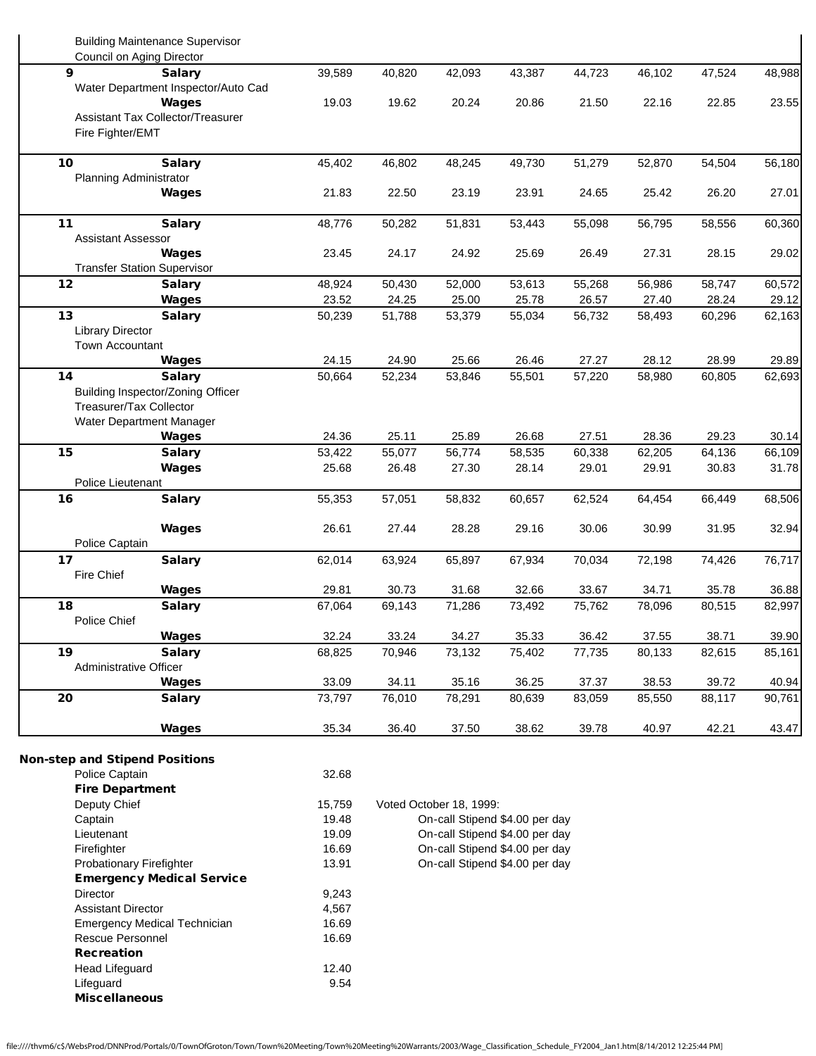|                         | <b>Building Maintenance Supervisor</b> |                |                                                                                                      |                                |        |        |        |        |        |  |
|-------------------------|----------------------------------------|----------------|------------------------------------------------------------------------------------------------------|--------------------------------|--------|--------|--------|--------|--------|--|
|                         | Council on Aging Director              |                |                                                                                                      |                                |        |        |        |        |        |  |
| 9                       | <b>Salary</b>                          | 39,589         | 40,820                                                                                               | 42,093                         | 43,387 | 44,723 | 46,102 | 47,524 | 48,988 |  |
|                         | Water Department Inspector/Auto Cad    |                |                                                                                                      |                                |        |        |        |        |        |  |
|                         | Wages                                  | 19.03          | 19.62                                                                                                | 20.24                          | 20.86  | 21.50  | 22.16  | 22.85  | 23.55  |  |
|                         | Assistant Tax Collector/Treasurer      |                |                                                                                                      |                                |        |        |        |        |        |  |
|                         | Fire Fighter/EMT                       |                |                                                                                                      |                                |        |        |        |        |        |  |
| 10                      | <b>Salary</b>                          | 45,402         | 46,802                                                                                               | 48,245                         | 49,730 | 51,279 | 52,870 | 54,504 | 56,180 |  |
|                         | Planning Administrator                 |                |                                                                                                      |                                |        |        |        |        |        |  |
|                         | Wages                                  | 21.83          | 22.50                                                                                                | 23.19                          | 23.91  | 24.65  | 25.42  | 26.20  | 27.01  |  |
| 11                      | <b>Salary</b>                          | 48,776         | 50,282                                                                                               | 51,831                         | 53,443 | 55,098 | 56,795 | 58,556 | 60,360 |  |
|                         | <b>Assistant Assessor</b>              |                |                                                                                                      |                                |        |        |        |        |        |  |
|                         | Wages                                  | 23.45          | 24.17                                                                                                | 24.92                          | 25.69  | 26.49  | 27.31  | 28.15  | 29.02  |  |
|                         | <b>Transfer Station Supervisor</b>     |                |                                                                                                      |                                |        |        |        |        |        |  |
| 12                      | <b>Salary</b>                          | 48,924         | 50,430                                                                                               | 52,000                         | 53,613 | 55,268 | 56,986 | 58,747 | 60,572 |  |
|                         | Wages                                  | 23.52          | 24.25                                                                                                | 25.00                          | 25.78  | 26.57  | 27.40  | 28.24  | 29.12  |  |
| 13                      | <b>Salary</b>                          | 50,239         | 51,788                                                                                               | 53,379                         | 55,034 | 56,732 | 58,493 | 60,296 | 62,163 |  |
| <b>Library Director</b> |                                        |                |                                                                                                      |                                |        |        |        |        |        |  |
|                         | Town Accountant                        |                |                                                                                                      |                                |        |        |        |        |        |  |
|                         | Wages                                  | 24.15          | 24.90                                                                                                | 25.66                          | 26.46  | 27.27  | 28.12  | 28.99  | 29.89  |  |
| 14                      | <b>Salary</b>                          | 50,664         | 52,234                                                                                               | 53,846                         | 55,501 | 57,220 | 58,980 | 60,805 | 62,693 |  |
|                         | Building Inspector/Zoning Officer      |                |                                                                                                      |                                |        |        |        |        |        |  |
|                         | Treasurer/Tax Collector                |                |                                                                                                      |                                |        |        |        |        |        |  |
|                         | Water Department Manager               |                |                                                                                                      |                                |        |        |        |        |        |  |
|                         | Wages                                  | 24.36          | 25.11                                                                                                | 25.89                          | 26.68  | 27.51  | 28.36  | 29.23  | 30.14  |  |
| 15                      | <b>Salary</b>                          | 53,422         | 55,077                                                                                               | 56,774                         | 58,535 | 60,338 | 62,205 | 64,136 | 66,109 |  |
|                         | Wages                                  | 25.68          | 26.48                                                                                                | 27.30                          | 28.14  | 29.01  | 29.91  | 30.83  | 31.78  |  |
|                         | Police Lieutenant                      |                |                                                                                                      |                                |        |        |        |        |        |  |
| 16                      | <b>Salary</b>                          | 55,353         | 57,051                                                                                               | 58,832                         | 60,657 | 62,524 | 64,454 | 66,449 | 68,506 |  |
|                         |                                        |                |                                                                                                      |                                |        |        |        |        |        |  |
|                         | Wages                                  | 26.61          | 27.44                                                                                                | 28.28                          | 29.16  | 30.06  | 30.99  | 31.95  | 32.94  |  |
| Police Captain          |                                        |                |                                                                                                      |                                |        |        |        |        |        |  |
| 17                      | <b>Salary</b>                          | 62,014         | 63,924                                                                                               | 65,897                         | 67,934 | 70,034 | 72,198 | 74,426 | 76,717 |  |
| Fire Chief              |                                        |                |                                                                                                      |                                |        |        |        |        |        |  |
|                         | <b>Wages</b>                           | 29.81          | 30.73                                                                                                | 31.68                          | 32.66  | 33.67  | 34.71  | 35.78  | 36.88  |  |
| 18                      | <b>Salary</b>                          | 67,064         | 69,143                                                                                               | 71,286                         | 73,492 | 75,762 | 78,096 | 80,515 | 82,997 |  |
| Police Chief            |                                        |                |                                                                                                      |                                |        |        |        |        |        |  |
|                         | <b>Wages</b>                           | 32.24          | 33.24                                                                                                | 34.27                          | 35.33  | 36.42  | 37.55  | 38.71  | 39.90  |  |
| 19                      | <b>Salary</b>                          | 68,825         | 70,946                                                                                               | 73,132                         | 75,402 | 77,735 | 80,133 | 82,615 | 85,161 |  |
|                         | Administrative Officer                 |                |                                                                                                      |                                |        |        |        |        |        |  |
|                         | Wages                                  | 33.09          | 34.11                                                                                                | 35.16                          | 36.25  | 37.37  | 38.53  | 39.72  | 40.94  |  |
| 20                      | <b>Salary</b>                          | 73,797         | 76,010                                                                                               | 78,291                         | 80,639 | 83,059 | 85,550 | 88,117 | 90,761 |  |
|                         | Wages                                  | 35.34          | 36.40                                                                                                | 37.50                          | 38.62  | 39.78  | 40.97  | 42.21  | 43.47  |  |
|                         | <b>Non-step and Stipend Positions</b>  |                |                                                                                                      |                                |        |        |        |        |        |  |
| Police Captain          |                                        | 32.68          |                                                                                                      |                                |        |        |        |        |        |  |
|                         | <b>Fire Department</b>                 |                |                                                                                                      |                                |        |        |        |        |        |  |
| Deputy Chief            |                                        | 15,759         |                                                                                                      |                                |        |        |        |        |        |  |
|                         | Captain<br>Lieutenant                  |                | Voted October 18, 1999:<br>19.48<br>On-call Stipend \$4.00 per day<br>On-call Stipend \$4.00 per day |                                |        |        |        |        |        |  |
|                         |                                        |                |                                                                                                      |                                |        |        |        |        |        |  |
| Firefighter             |                                        | 19.09<br>16.69 | On-call Stipend \$4.00 per day                                                                       |                                |        |        |        |        |        |  |
|                         | Probationary Firefighter               |                |                                                                                                      | On-call Stipend \$4.00 per day |        |        |        |        |        |  |
|                         | <b>Emergency Medical Service</b>       | 13.91          |                                                                                                      |                                |        |        |        |        |        |  |
| Director                |                                        | 9,243          |                                                                                                      |                                |        |        |        |        |        |  |
|                         | <b>Assistant Director</b>              | 4,567          |                                                                                                      |                                |        |        |        |        |        |  |
|                         | <b>Emergency Medical Technician</b>    | 16.69          |                                                                                                      |                                |        |        |        |        |        |  |
|                         | Rescue Personnel                       | 16.69          |                                                                                                      |                                |        |        |        |        |        |  |
| <b>Recreation</b>       |                                        |                |                                                                                                      |                                |        |        |        |        |        |  |
| <b>Head Lifeguard</b>   |                                        | 12.40          |                                                                                                      |                                |        |        |        |        |        |  |
| Lifeguard               |                                        | 9.54           |                                                                                                      |                                |        |        |        |        |        |  |
|                         | <b>Miscellaneous</b>                   |                |                                                                                                      |                                |        |        |        |        |        |  |
|                         |                                        |                |                                                                                                      |                                |        |        |        |        |        |  |